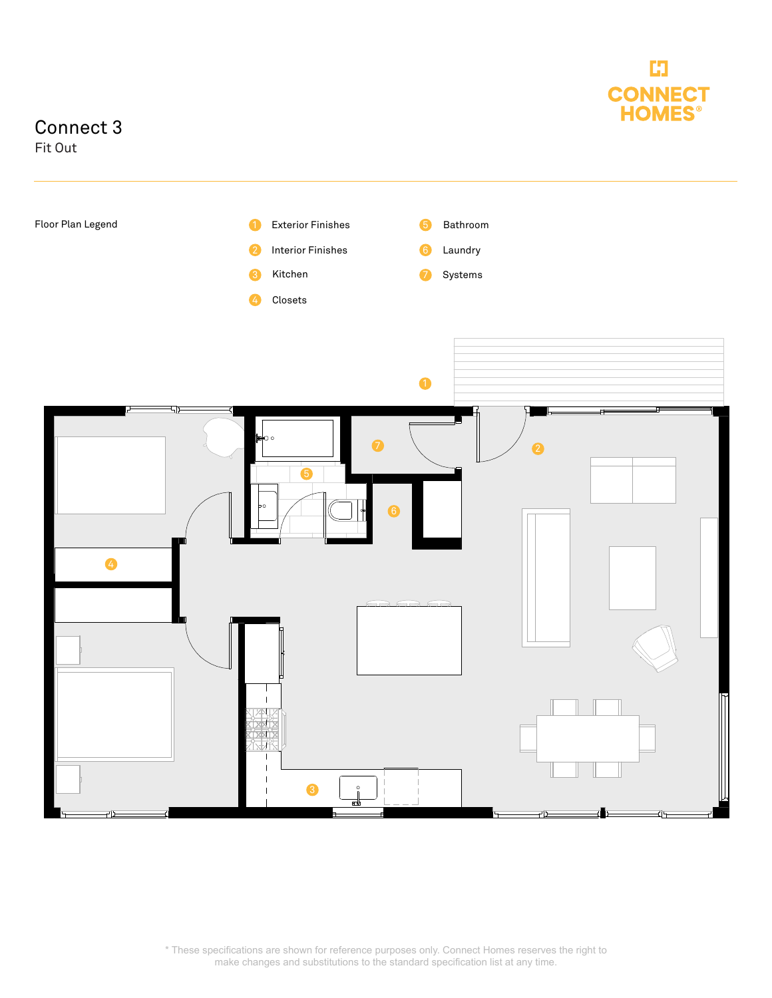

## Connect 3

Fit Out



\* These specifications are shown for reference purposes only. Connect Homes reserves the right to make changes and substitutions to the standard specification list at any time.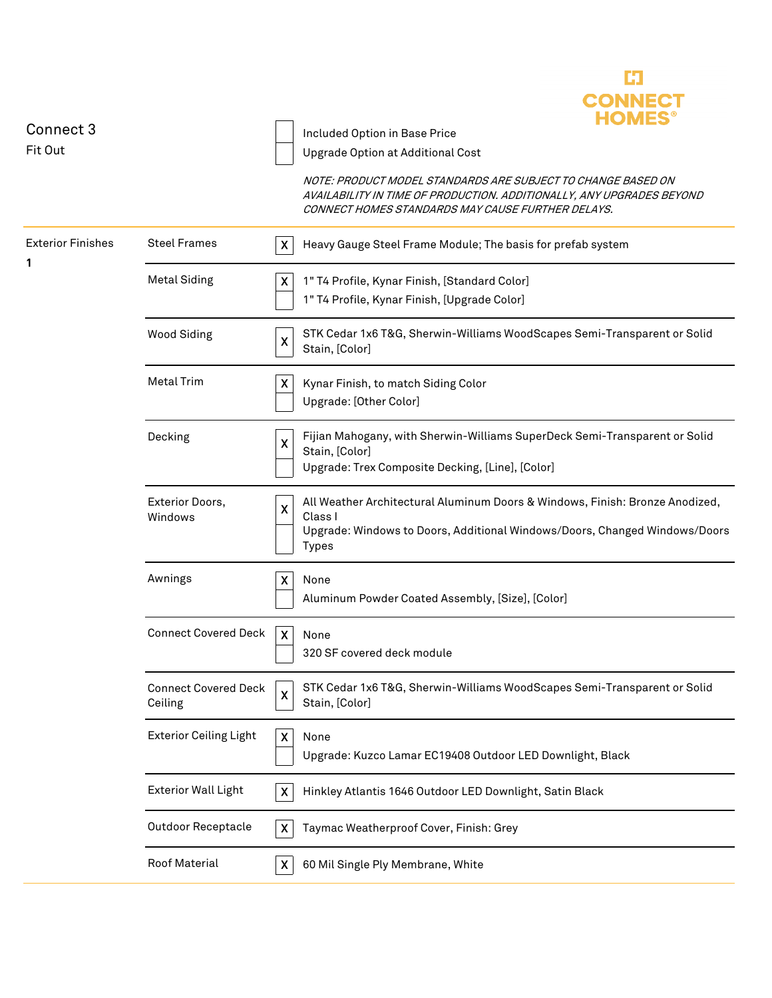

| Connect 3                     |                                        | Included Option in Base Price                                                                                                                                                              |
|-------------------------------|----------------------------------------|--------------------------------------------------------------------------------------------------------------------------------------------------------------------------------------------|
| Fit Out                       |                                        | Upgrade Option at Additional Cost                                                                                                                                                          |
|                               |                                        | NOTE: PRODUCT MODEL STANDARDS ARE SUBJECT TO CHANGE BASED ON<br>AVAILABILITY IN TIME OF PRODUCTION. ADDITIONALLY, ANY UPGRADES BEYOND<br>CONNECT HOMES STANDARDS MAY CAUSE FURTHER DELAYS. |
| <b>Exterior Finishes</b><br>1 | <b>Steel Frames</b>                    | X<br>Heavy Gauge Steel Frame Module; The basis for prefab system                                                                                                                           |
|                               | <b>Metal Siding</b>                    | X<br>1" T4 Profile, Kynar Finish, [Standard Color]<br>1" T4 Profile, Kynar Finish, [Upgrade Color]                                                                                         |
|                               | <b>Wood Siding</b>                     | STK Cedar 1x6 T&G, Sherwin-Williams WoodScapes Semi-Transparent or Solid<br>X<br>Stain, [Color]                                                                                            |
|                               | <b>Metal Trim</b>                      | X<br>Kynar Finish, to match Siding Color<br>Upgrade: [Other Color]                                                                                                                         |
|                               | Decking                                | Fijian Mahogany, with Sherwin-Williams SuperDeck Semi-Transparent or Solid<br>X<br>Stain, [Color]<br>Upgrade: Trex Composite Decking, [Line], [Color]                                      |
|                               | Exterior Doors,<br>Windows             | All Weather Architectural Aluminum Doors & Windows, Finish: Bronze Anodized,<br>X<br>Class I<br>Upgrade: Windows to Doors, Additional Windows/Doors, Changed Windows/Doors<br><b>Types</b> |
|                               | Awnings                                | X<br>None<br>Aluminum Powder Coated Assembly, [Size], [Color]                                                                                                                              |
|                               | <b>Connect Covered Deck</b>            | X<br>None<br>320 SF covered deck module                                                                                                                                                    |
|                               | <b>Connect Covered Deck</b><br>Ceiling | STK Cedar 1x6 T&G, Sherwin-Williams WoodScapes Semi-Transparent or Solid<br>X<br>Stain, [Color]                                                                                            |
|                               | <b>Exterior Ceiling Light</b>          | $\boldsymbol{\mathsf{X}}$<br>None<br>Upgrade: Kuzco Lamar EC19408 Outdoor LED Downlight, Black                                                                                             |
|                               | <b>Exterior Wall Light</b>             | X<br>Hinkley Atlantis 1646 Outdoor LED Downlight, Satin Black                                                                                                                              |
|                               | <b>Outdoor Receptacle</b>              | Taymac Weatherproof Cover, Finish: Grey<br>$\boldsymbol{\mathsf{X}}$                                                                                                                       |
|                               | Roof Material                          | 60 Mil Single Ply Membrane, White<br>X                                                                                                                                                     |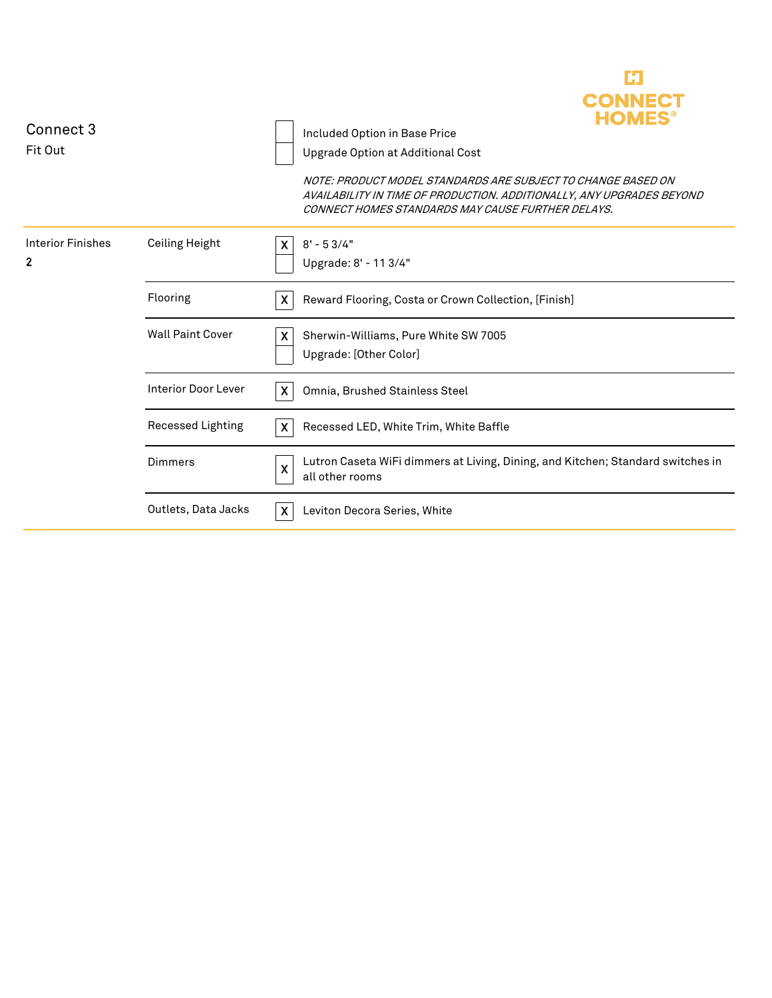

| Connect 3                |                            | Included Option in Base Price                                                                                                                                                              |
|--------------------------|----------------------------|--------------------------------------------------------------------------------------------------------------------------------------------------------------------------------------------|
| Fit Out                  |                            | Upgrade Option at Additional Cost                                                                                                                                                          |
|                          |                            | NOTE: PRODUCT MODEL STANDARDS ARE SUBJECT TO CHANGE BASED ON<br>AVAILABILITY IN TIME OF PRODUCTION. ADDITIONALLY, ANY UPGRADES BEYOND<br>CONNECT HOMES STANDARDS MAY CAUSE FURTHER DELAYS. |
| <b>Interior Finishes</b> | Ceiling Height             | $8' - 53/4"$<br>X.                                                                                                                                                                         |
| $\mathbf{2}$             |                            | Upgrade: 8' - 11 3/4"                                                                                                                                                                      |
|                          | Flooring                   | $\boldsymbol{\mathsf{X}}$<br>Reward Flooring, Costa or Crown Collection, [Finish]                                                                                                          |
|                          | <b>Wall Paint Cover</b>    | Sherwin-Williams, Pure White SW 7005<br>X                                                                                                                                                  |
|                          |                            | Upgrade: [Other Color]                                                                                                                                                                     |
|                          | <b>Interior Door Lever</b> | X<br>Omnia, Brushed Stainless Steel                                                                                                                                                        |
|                          | Recessed Lighting          | $\boldsymbol{X}$<br>Recessed LED, White Trim, White Baffle                                                                                                                                 |
|                          | Dimmers                    | Lutron Caseta WiFi dimmers at Living, Dining, and Kitchen; Standard switches in<br>X<br>all other rooms                                                                                    |
|                          | Outlets, Data Jacks        | X<br>Leviton Decora Series, White                                                                                                                                                          |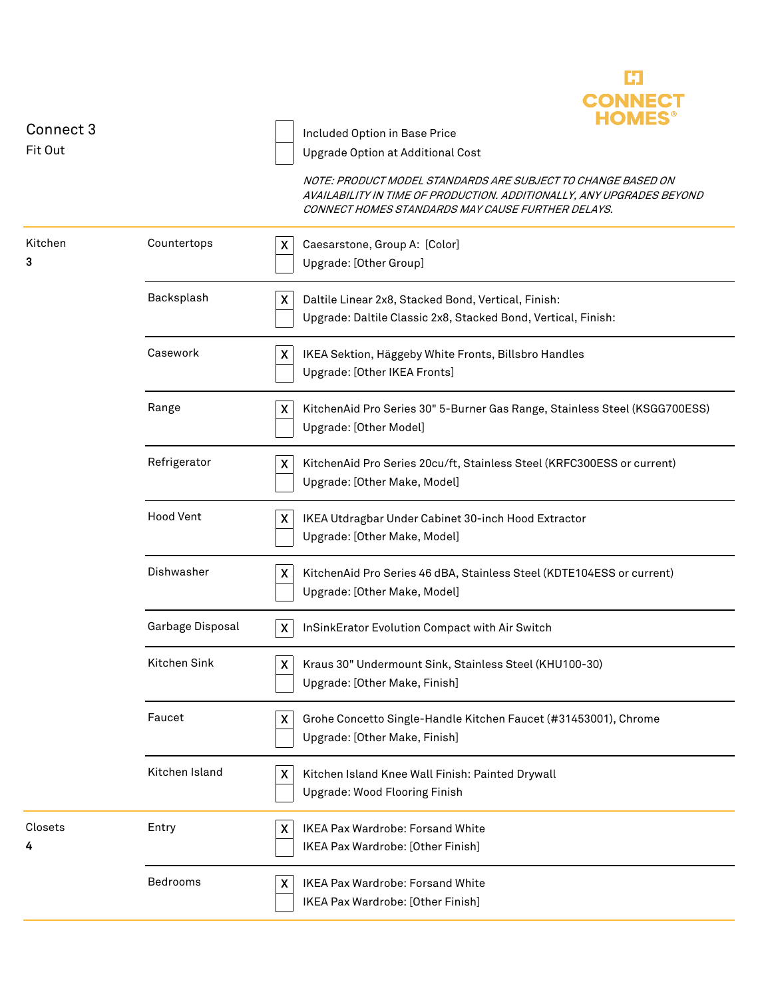

| Connect 3<br>Fit Out |                  | Included Option in Base Price<br>Upgrade Option at Additional Cost                                                                                                                         |
|----------------------|------------------|--------------------------------------------------------------------------------------------------------------------------------------------------------------------------------------------|
|                      |                  | NOTE: PRODUCT MODEL STANDARDS ARE SUBJECT TO CHANGE BASED ON<br>AVAILABILITY IN TIME OF PRODUCTION. ADDITIONALLY, ANY UPGRADES BEYOND<br>CONNECT HOMES STANDARDS MAY CAUSE FURTHER DELAYS. |
| Kitchen<br>3         | Countertops      | Caesarstone, Group A: [Color]<br>X<br>Upgrade: [Other Group]                                                                                                                               |
|                      | Backsplash       | $\boldsymbol{\mathsf{X}}$<br>Daltile Linear 2x8, Stacked Bond, Vertical, Finish:<br>Upgrade: Daltile Classic 2x8, Stacked Bond, Vertical, Finish:                                          |
|                      | Casework         | $\boldsymbol{\mathsf{X}}$<br>IKEA Sektion, Häggeby White Fronts, Billsbro Handles<br>Upgrade: [Other IKEA Fronts]                                                                          |
|                      | Range            | X<br>KitchenAid Pro Series 30" 5-Burner Gas Range, Stainless Steel (KSGG700ESS)<br>Upgrade: [Other Model]                                                                                  |
|                      | Refrigerator     | KitchenAid Pro Series 20cu/ft, Stainless Steel (KRFC300ESS or current)<br>X<br>Upgrade: [Other Make, Model]                                                                                |
|                      | <b>Hood Vent</b> | $\boldsymbol{\mathsf{X}}$<br>IKEA Utdragbar Under Cabinet 30-inch Hood Extractor<br>Upgrade: [Other Make, Model]                                                                           |
|                      | Dishwasher       | $\boldsymbol{\mathsf{X}}$<br>KitchenAid Pro Series 46 dBA, Stainless Steel (KDTE104ESS or current)<br>Upgrade: [Other Make, Model]                                                         |
|                      | Garbage Disposal | $\boldsymbol{X}$<br>InSinkErator Evolution Compact with Air Switch                                                                                                                         |
|                      | Kitchen Sink     | X<br>Kraus 30" Undermount Sink, Stainless Steel (KHU100-30)<br>Upgrade: [Other Make, Finish]                                                                                               |
|                      | Faucet           | $\boldsymbol{\mathsf{X}}$<br>Grohe Concetto Single-Handle Kitchen Faucet (#31453001), Chrome<br>Upgrade: [Other Make, Finish]                                                              |
|                      | Kitchen Island   | X<br>Kitchen Island Knee Wall Finish: Painted Drywall<br>Upgrade: Wood Flooring Finish                                                                                                     |
| Closets<br>4         | Entry            | X<br><b>IKEA Pax Wardrobe: Forsand White</b><br>IKEA Pax Wardrobe: [Other Finish]                                                                                                          |
|                      | Bedrooms         | X<br>IKEA Pax Wardrobe: Forsand White<br>IKEA Pax Wardrobe: [Other Finish]                                                                                                                 |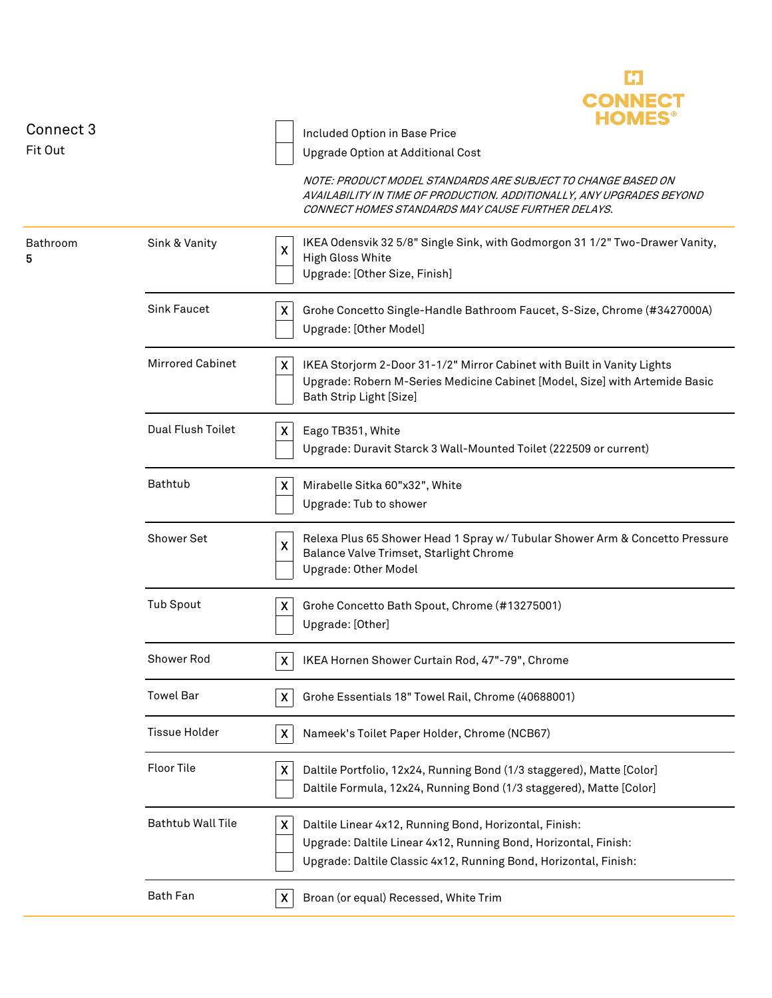|               |                          | <b>HOMES</b>                                                                                                                                                                                                               |
|---------------|--------------------------|----------------------------------------------------------------------------------------------------------------------------------------------------------------------------------------------------------------------------|
| Connect 3     |                          | Included Option in Base Price                                                                                                                                                                                              |
| Fit Out       |                          | Upgrade Option at Additional Cost                                                                                                                                                                                          |
|               |                          | NOTE: PRODUCT MODEL STANDARDS ARE SUBJECT TO CHANGE BASED ON<br>AVAILABILITY IN TIME OF PRODUCTION. ADDITIONALLY, ANY UPGRADES BEYOND<br>CONNECT HOMES STANDARDS MAY CAUSE FURTHER DELAYS.                                 |
| Bathroom<br>5 | Sink & Vanity            | IKEA Odensvik 32 5/8" Single Sink, with Godmorgon 31 1/2" Two-Drawer Vanity,<br>X<br>High Gloss White<br>Upgrade: [Other Size, Finish]                                                                                     |
|               | <b>Sink Faucet</b>       | X<br>Grohe Concetto Single-Handle Bathroom Faucet, S-Size, Chrome (#3427000A)<br>Upgrade: [Other Model]                                                                                                                    |
|               | <b>Mirrored Cabinet</b>  | $\boldsymbol{X}$<br>IKEA Storjorm 2-Door 31-1/2" Mirror Cabinet with Built in Vanity Lights<br>Upgrade: Robern M-Series Medicine Cabinet [Model, Size] with Artemide Basic<br>Bath Strip Light [Size]                      |
|               | Dual Flush Toilet        | $\boldsymbol{X}$<br>Eago TB351, White<br>Upgrade: Duravit Starck 3 Wall-Mounted Toilet (222509 or current)                                                                                                                 |
|               | Bathtub                  | X<br>Mirabelle Sitka 60"x32", White<br>Upgrade: Tub to shower                                                                                                                                                              |
|               | <b>Shower Set</b>        | Relexa Plus 65 Shower Head 1 Spray w/ Tubular Shower Arm & Concetto Pressure<br>$\boldsymbol{\mathsf{X}}$<br>Balance Valve Trimset, Starlight Chrome<br>Upgrade: Other Model                                               |
|               | <b>Tub Spout</b>         | X<br>Grohe Concetto Bath Spout, Chrome (#13275001)<br>Upgrade: [Other]                                                                                                                                                     |
|               | Shower Rod               | $\pmb{\mathsf{X}}$<br>IKEA Hornen Shower Curtain Rod, 47"-79", Chrome                                                                                                                                                      |
|               | <b>Towel Bar</b>         | X<br>Grohe Essentials 18" Towel Rail, Chrome (40688001)                                                                                                                                                                    |
|               | <b>Tissue Holder</b>     | X<br>Nameek's Toilet Paper Holder, Chrome (NCB67)                                                                                                                                                                          |
|               | Floor Tile               | X<br>Daltile Portfolio, 12x24, Running Bond (1/3 staggered), Matte [Color]<br>Daltile Formula, 12x24, Running Bond (1/3 staggered), Matte [Color]                                                                          |
|               | <b>Bathtub Wall Tile</b> | $\boldsymbol{\mathsf{X}}$<br>Daltile Linear 4x12, Running Bond, Horizontal, Finish:<br>Upgrade: Daltile Linear 4x12, Running Bond, Horizontal, Finish:<br>Upgrade: Daltile Classic 4x12, Running Bond, Horizontal, Finish: |
|               | <b>Bath Fan</b>          | Broan (or equal) Recessed, White Trim<br>X                                                                                                                                                                                 |

Ľ.